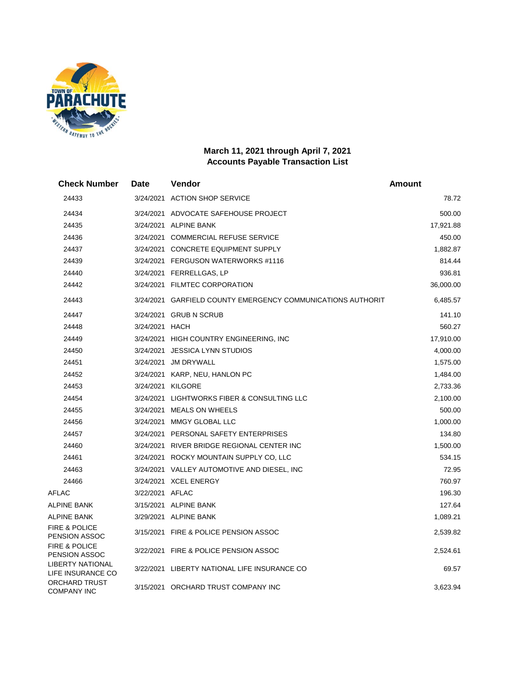

## **March 11, 2021 through April 7, 2021 Accounts Payable Transaction List**

| <b>Check Number</b>                        | Date            | Vendor                                                      | Amount    |
|--------------------------------------------|-----------------|-------------------------------------------------------------|-----------|
| 24433                                      |                 | 3/24/2021 ACTION SHOP SERVICE                               | 78.72     |
| 24434                                      |                 | 3/24/2021 ADVOCATE SAFEHOUSE PROJECT                        | 500.00    |
| 24435                                      |                 | 3/24/2021 ALPINE BANK                                       | 17,921.88 |
| 24436                                      |                 | 3/24/2021 COMMERCIAL REFUSE SERVICE                         | 450.00    |
| 24437                                      |                 | 3/24/2021 CONCRETE EQUIPMENT SUPPLY                         | 1,882.87  |
| 24439                                      |                 | 3/24/2021 FERGUSON WATERWORKS #1116                         | 814.44    |
| 24440                                      |                 | 3/24/2021 FERRELLGAS, LP                                    | 936.81    |
| 24442                                      |                 | 3/24/2021 FILMTEC CORPORATION                               | 36,000.00 |
| 24443                                      |                 | 3/24/2021 GARFIELD COUNTY EMERGENCY COMMUNICATIONS AUTHORIT | 6,485.57  |
| 24447                                      |                 | 3/24/2021 GRUB N SCRUB                                      | 141.10    |
| 24448                                      | 3/24/2021 HACH  |                                                             | 560.27    |
| 24449                                      |                 | 3/24/2021 HIGH COUNTRY ENGINEERING, INC                     | 17,910.00 |
| 24450                                      |                 | 3/24/2021 JESSICA LYNN STUDIOS                              | 4,000.00  |
| 24451                                      |                 | 3/24/2021 JM DRYWALL                                        | 1,575.00  |
| 24452                                      |                 | 3/24/2021 KARP, NEU, HANLON PC                              | 1,484.00  |
| 24453                                      |                 | 3/24/2021 KILGORE                                           | 2,733.36  |
| 24454                                      |                 | 3/24/2021 LIGHTWORKS FIBER & CONSULTING LLC                 | 2,100.00  |
| 24455                                      |                 | 3/24/2021 MEALS ON WHEELS                                   | 500.00    |
| 24456                                      |                 | 3/24/2021 MMGY GLOBAL LLC                                   | 1,000.00  |
| 24457                                      |                 | 3/24/2021 PERSONAL SAFETY ENTERPRISES                       | 134.80    |
| 24460                                      |                 | 3/24/2021 RIVER BRIDGE REGIONAL CENTER INC                  | 1,500.00  |
| 24461                                      |                 | 3/24/2021 ROCKY MOUNTAIN SUPPLY CO, LLC                     | 534.15    |
| 24463                                      |                 | 3/24/2021 VALLEY AUTOMOTIVE AND DIESEL, INC                 | 72.95     |
| 24466                                      |                 | 3/24/2021 XCEL ENERGY                                       | 760.97    |
| <b>AFLAC</b>                               | 3/22/2021 AFLAC |                                                             | 196.30    |
| <b>ALPINE BANK</b>                         |                 | 3/15/2021 ALPINE BANK                                       | 127.64    |
| <b>ALPINE BANK</b>                         |                 | 3/29/2021 ALPINE BANK                                       | 1,089.21  |
| <b>FIRE &amp; POLICE</b><br>PENSION ASSOC  |                 | 3/15/2021 FIRE & POLICE PENSION ASSOC                       | 2,539.82  |
| <b>FIRE &amp; POLICE</b><br>PENSION ASSOC  |                 | 3/22/2021 FIRE & POLICE PENSION ASSOC                       | 2,524.61  |
| LIBERTY NATIONAL<br>LIFE INSURANCE CO      |                 | 3/22/2021 LIBERTY NATIONAL LIFE INSURANCE CO                | 69.57     |
| <b>ORCHARD TRUST</b><br><b>COMPANY INC</b> |                 | 3/15/2021 ORCHARD TRUST COMPANY INC                         | 3,623.94  |